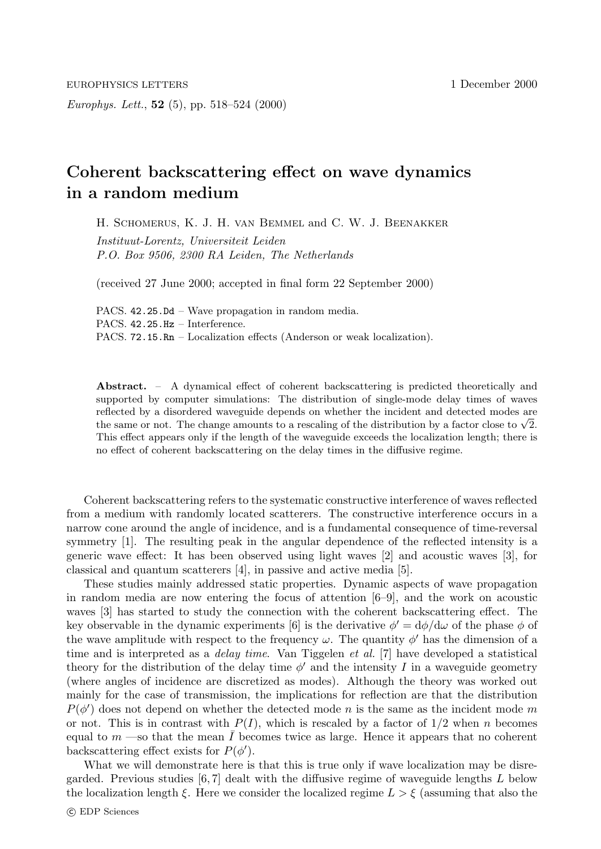Europhys. Lett., **52** (5), pp. 518–524 (2000)

## **Coherent backscattering effect on wave dynamics in a random medium**

H. Schomerus, K. J. H. van Bemmel and C. W. J. Beenakker Instituut-Lorentz, Universiteit Leiden P.O. Box 9506, 2300 RA Leiden, The Netherlands

(received 27 June 2000; accepted in final form 22 September 2000)

PACS. 42.25.Dd – Wave propagation in random media. PACS. 42.25.Hz – Interference. PACS. 72.15.Rn – Localization effects (Anderson or weak localization).

**Abstract.** – A dynamical effect of coherent backscattering is predicted theoretically and supported by computer simulations: The distribution of single-mode delay times of waves reflected bya disordered waveguide depends on whether the incident and detected modes are the same or not. The change amounts to a rescaling of the distribution by a factor close to  $\sqrt{2}$ . This effect appears onlyif the length of the waveguide exceeds the localization length; there is no effect of coherent backscattering on the delaytimes in the diffusive regime.

Coherent backscattering refers to the systematic constructive interference of waves reflected from a medium with randomly located scatterers. The constructive interference occurs in a narrow cone around the angle of incidence, and is a fundamental consequence of time-reversal symmetry [1]. The resulting peak in the angular dependence of the reflected intensity is a generic wave effect: It has been observed using light waves [2] and acoustic waves [3], for classical and quantum scatterers [4], in passive and active media [5].

These studies mainly addressed static properties. Dynamic aspects of wave propagation in random media are now entering the focus of attention [6–9], and the work on acoustic waves [3] has started to study the connection with the coherent backscattering effect. The key observable in the dynamic experiments [6] is the derivative  $\phi' = d\phi/d\omega$  of the phase  $\phi$  of the wave amplitude with respect to the frequency  $\omega$ . The quantity  $\phi'$  has the dimension of a time and is interpreted as a *delay time*. Van Tiggelen et al. [7] have developed a statistical theory for the distribution of the delay time  $\phi'$  and the intensity I in a waveguide geometry (where angles of incidence are discretized as modes). Although the theory was worked out mainly for the case of transmission, the implications for reflection are that the distribution  $P(\phi')$  does not depend on whether the detected mode n is the same as the incident mode m or not. This is in contrast with  $P(I)$ , which is rescaled by a factor of  $1/2$  when n becomes equal to  $m$  —so that the mean  $\overline{I}$  becomes twice as large. Hence it appears that no coherent backscattering effect exists for  $P(\phi')$ .

What we will demonstrate here is that this is true only if wave localization may be disregarded. Previous studies  $[6, 7]$  dealt with the diffusive regime of waveguide lengths L below the localization length  $\xi$ . Here we consider the localized regime  $L>\xi$  (assuming that also the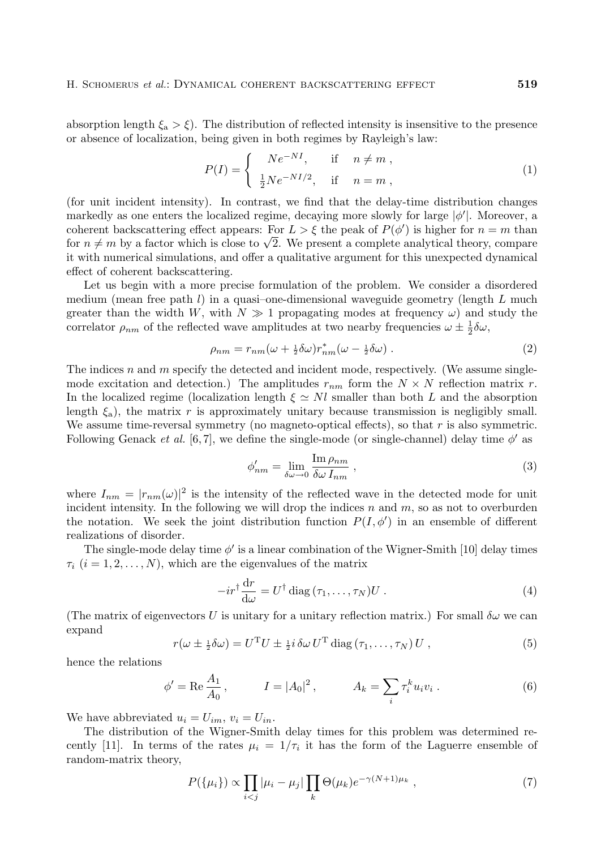absorption length  $\xi_a > \xi$ ). The distribution of reflected intensity is insensitive to the presence or absence of localization, being given in both regimes by Rayleigh's law:

$$
P(I) = \begin{cases} N e^{-NI}, & \text{if } n \neq m, \\ \frac{1}{2} N e^{-NI/2}, & \text{if } n = m, \end{cases} \tag{1}
$$

(for unit incident intensity). In contrast, we find that the delay-time distribution changes markedly as one enters the localized regime, decaying more slowly for large  $|\phi'|$ . Moreover, a coherent backscattering effect appears: For  $L > \xi$  the peak of  $P(\phi')$  is higher for  $n = m$  than for  $n \neq m$  by a factor which is close to  $\sqrt{2}$ . We present a complete analytical theory, compare it with numerical simulations, and offer a qualitative argument for this unexpected dynamical effect of coherent backscattering.

Let us begin with a more precise formulation of the problem. We consider a disordered medium (mean free path  $l$ ) in a quasi-one-dimensional waveguide geometry (length  $L$  much greater than the width W, with  $N \gg 1$  propagating modes at frequency  $\omega$ ) and study the correlator  $\rho_{nm}$  of the reflected wave amplitudes at two nearby frequencies  $\omega \pm \frac{1}{2}\delta\omega$ ,

$$
\rho_{nm} = r_{nm}(\omega + \frac{1}{2}\delta\omega)r_{nm}^*(\omega - \frac{1}{2}\delta\omega) \tag{2}
$$

The indices  $n$  and  $m$  specify the detected and incident mode, respectively. (We assume singlemode excitation and detection.) The amplitudes  $r_{nm}$  form the  $N \times N$  reflection matrix r. In the localized regime (localization length  $\xi \simeq Nl$  smaller than both L and the absorption length  $\xi_a$ ), the matrix r is approximately unitary because transmission is negligibly small. We assume time-reversal symmetry (no magneto-optical effects), so that  $r$  is also symmetric. Following Genack *et al.* [6,7], we define the single-mode (or single-channel) delay time  $\phi'$  as

$$
\phi'_{nm} = \lim_{\delta \omega \to 0} \frac{\operatorname{Im} \rho_{nm}}{\delta \omega I_{nm}} , \qquad (3)
$$

where  $I_{nm} = |r_{nm}(\omega)|^2$  is the intensity of the reflected wave in the detected mode for unit incident intensity. In the following we will drop the indices  $n$  and  $m$ , so as not to overburden the notation. We seek the joint distribution function  $P(I, \phi')$  in an ensemble of different realizations of disorder.

The single-mode delay time  $\phi'$  is a linear combination of the Wigner-Smith [10] delay times  $\tau_i$   $(i = 1, 2, \ldots, N)$ , which are the eigenvalues of the matrix

$$
-ir^{\dagger} \frac{dr}{d\omega} = U^{\dagger} \text{ diag}(\tau_1, \dots, \tau_N) U . \tag{4}
$$

(The matrix of eigenvectors U is unitary for a unitary reflection matrix.) For small  $\delta\omega$  we can expand

$$
r(\omega \pm \frac{1}{2}\delta\omega) = U^{\mathrm{T}}U \pm \frac{1}{2}i\,\delta\omega\,U^{\mathrm{T}}\,\mathrm{diag}\left(\tau_1,\ldots,\tau_N\right)U\,,\tag{5}
$$

hence the relations

$$
\phi' = \text{Re}\,\frac{A_1}{A_0}, \qquad I = |A_0|^2, \qquad A_k = \sum_i \tau_i^k u_i v_i. \tag{6}
$$

We have abbreviated  $u_i = U_{im}$ ,  $v_i = U_{in}$ .

The distribution of the Wigner-Smith delay times for this problem was determined recently [11]. In terms of the rates  $\mu_i = 1/\tau_i$  it has the form of the Laguerre ensemble of random-matrix theory,

$$
P(\{\mu_i\}) \propto \prod_{i < j} |\mu_i - \mu_j| \prod_k \Theta(\mu_k) e^{-\gamma (N+1)\mu_k} \,, \tag{7}
$$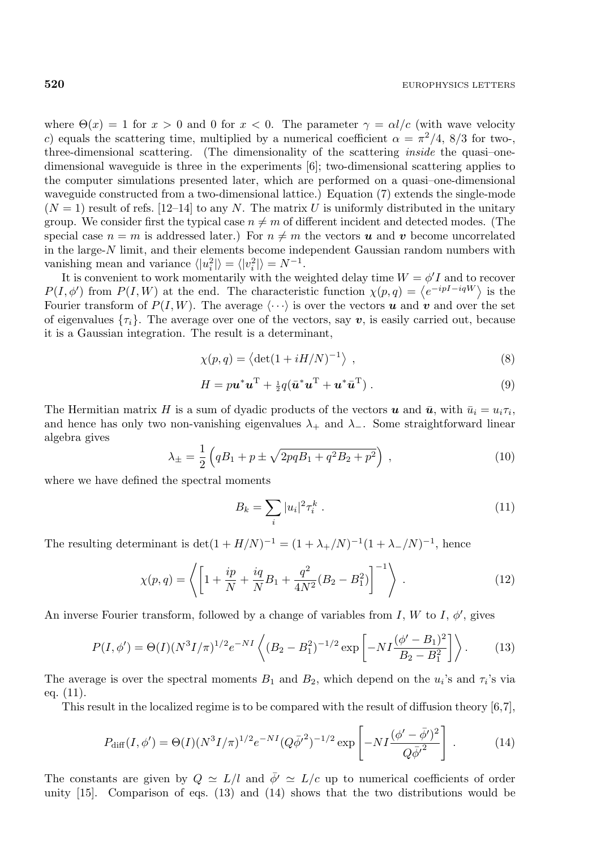where  $\Theta(x) = 1$  for  $x > 0$  and 0 for  $x < 0$ . The parameter  $\gamma = \alpha l/c$  (with wave velocity c) equals the scattering time, multiplied by a numerical coefficient  $\alpha = \pi^2/4$ , 8/3 for two-, three-dimensional scattering. (The dimensionality of the scattering inside the quasi–onedimensional waveguide is three in the experiments [6]; two-dimensional scattering applies to the computer simulations presented later, which are performed on a quasi–one-dimensional waveguide constructed from a two-dimensional lattice.) Equation (7) extends the single-mode  $(N = 1)$  result of refs. [12–14] to any N. The matrix U is uniformly distributed in the unitary group. We consider first the typical case  $n \neq m$  of different incident and detected modes. (The special case  $n = m$  is addressed later.) For  $n \neq m$  the vectors **u** and **v** become uncorrelated in the large-N limit, and their elements become independent Gaussian random numbers with vanishing mean and variance  $\langle |u_i^2| \rangle = \langle |v_i^2| \rangle = N^{-1}$ .

It is convenient to work momentarily with the weighted delay time  $W = \phi' I$  and to recover  $P(I, \phi')$  from  $P(I, W)$  at the end. The characteristic function  $\chi(p,q) = \langle e^{-ipI - iqW} \rangle$  is the Fourier transform of  $P(I, W)$ . The average  $\langle \cdots \rangle$  is over the vectors **u** and **v** and over the set of eigenvalues  $\{\tau_i\}$ . The average over one of the vectors, say **v**, is easily carried out, because it is a Gaussian integration. The result is a determinant,

$$
\chi(p,q) = \langle \det(1 + iH/N)^{-1} \rangle , \qquad (8)
$$

$$
H = p\boldsymbol{u}^*\boldsymbol{u}^{\mathrm{T}} + \frac{1}{2}q(\bar{\boldsymbol{u}}^*\boldsymbol{u}^{\mathrm{T}} + \boldsymbol{u}^*\bar{\boldsymbol{u}}^{\mathrm{T}}).
$$
 (9)

The Hermitian matrix H is a sum of dyadic products of the vectors **u** and  $\bar{u}$ , with  $\bar{u}_i = u_i \tau_i$ , and hence has only two non-vanishing eigenvalues  $\lambda_+$  and  $\lambda_-$ . Some straightforward linear algebra gives

$$
\lambda_{\pm} = \frac{1}{2} \left( qB_1 + p \pm \sqrt{2pqB_1 + q^2B_2 + p^2} \right) , \qquad (10)
$$

where we have defined the spectral moments

$$
B_k = \sum_i |u_i|^2 \tau_i^k \,. \tag{11}
$$

The resulting determinant is det $(1 + H/N)^{-1} = (1 + \lambda_{+}/N)^{-1}(1 + \lambda_{-}/N)^{-1}$ , hence

$$
\chi(p,q) = \left\langle \left[ 1 + \frac{ip}{N} + \frac{iq}{N} B_1 + \frac{q^2}{4N^2} (B_2 - B_1^2) \right]^{-1} \right\rangle. \tag{12}
$$

An inverse Fourier transform, followed by a change of variables from I, W to I,  $\phi'$ , gives

$$
P(I, \phi') = \Theta(I)(N^3 I/\pi)^{1/2} e^{-NI} \left\langle (B_2 - B_1^2)^{-1/2} \exp\left[-NI\frac{(\phi' - B_1)^2}{B_2 - B_1^2}\right] \right\rangle.
$$
 (13)

The average is over the spectral moments  $B_1$  and  $B_2$ , which depend on the  $u_i$ 's and  $\tau_i$ 's via eq. (11).

This result in the localized regime is to be compared with the result of diffusion theory [6,7],

$$
P_{\text{diff}}(I, \phi') = \Theta(I)(N^3 I/\pi)^{1/2} e^{-NI} (Q\bar{\phi'}^2)^{-1/2} \exp\left[-NI\frac{(\phi' - \bar{\phi}')^2}{Q\bar{\phi'}^2}\right].
$$
 (14)

The constants are given by  $Q \simeq L/l$  and  $\phi' \simeq L/c$  up to numerical coefficients of order unity [15]. Comparison of eqs. (13) and (14) shows that the two distributions would be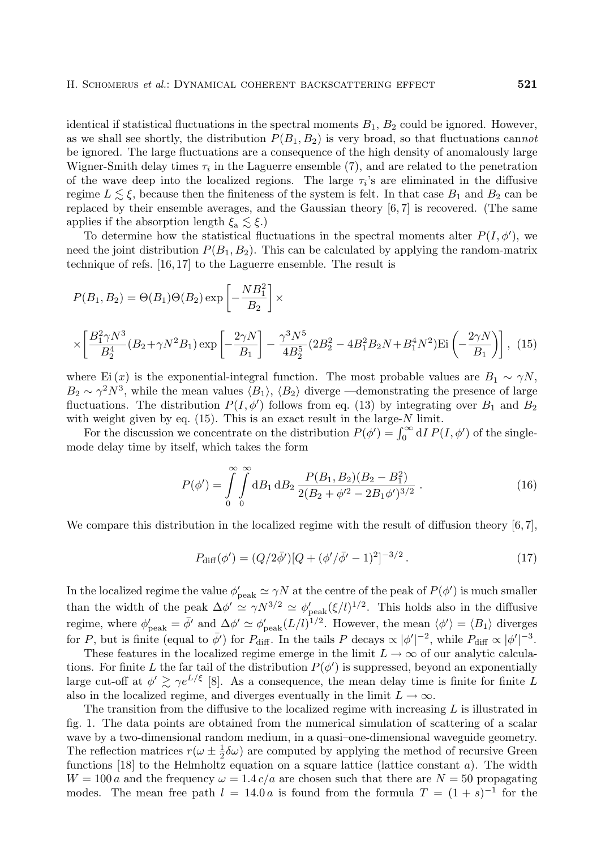identical if statistical fluctuations in the spectral moments  $B_1, B_2$  could be ignored. However, as we shall see shortly, the distribution  $P(B_1, B_2)$  is very broad, so that fluctuations cannot be ignored. The large fluctuations are a consequence of the high density of anomalously large Wigner-Smith delay times  $\tau_i$  in the Laguerre ensemble (7), and are related to the penetration of the wave deep into the localized regions. The large  $\tau_i$ 's are eliminated in the diffusive regime  $L \lesssim \xi$ , because then the finiteness of the system is felt. In that case  $B_1$  and  $B_2$  can be replaced by their ensemble averages, and the Gaussian theory  $[6, 7]$  is recovered. (The same applies if the absorption length  $\xi_a \lesssim \xi$ .)

To determine how the statistical fluctuations in the spectral moments alter  $P(I, \phi')$ , we need the joint distribution  $P(B_1, B_2)$ . This can be calculated by applying the random-matrix technique of refs. [16, 17] to the Laguerre ensemble. The result is

$$
P(B_1, B_2) = \Theta(B_1)\Theta(B_2) \exp\left[-\frac{N B_1^2}{B_2}\right] \times \times \left[\frac{B_1^2 \gamma N^3}{B_2^4} (B_2 + \gamma N^2 B_1) \exp\left[-\frac{2\gamma N}{B_1}\right] - \frac{\gamma^3 N^5}{4B_2^5} (2B_2^2 - 4B_1^2 B_2 N + B_1^4 N^2) \text{Ei}\left(-\frac{2\gamma N}{B_1}\right)\right], (15)
$$

where Ei(x) is the exponential-integral function. The most probable values are  $B_1 \sim \gamma N$ ,  $B_2 \sim \gamma^2 N^3$ , while the mean values  $\langle B_1 \rangle$ ,  $\langle B_2 \rangle$  diverge —demonstrating the presence of large fluctuations. The distribution  $P(I, \phi')$  follows from eq. (13) by integrating over  $B_1$  and  $B_2$ with weight given by eq.  $(15)$ . This is an exact result in the large-N limit.

For the discussion we concentrate on the distribution  $P(\phi') = \int_0^\infty dI P(I, \phi')$  of the singlemode delay time by itself, which takes the form

$$
P(\phi') = \int_{0}^{\infty} \int_{0}^{\infty} \mathrm{d}B_1 \, \mathrm{d}B_2 \, \frac{P(B_1, B_2)(B_2 - B_1^2)}{2(B_2 + \phi'^2 - 2B_1\phi')^{3/2}} \,. \tag{16}
$$

We compare this distribution in the localized regime with the result of diffusion theory  $[6,7]$ ,

$$
P_{\text{diff}}(\phi') = (Q/2\bar{\phi'})[Q + (\phi'/\bar{\phi'} - 1)^2]^{-3/2}.
$$
\n(17)

In the localized regime the value  $\phi'_{peak} \simeq \gamma N$  at the centre of the peak of  $P(\phi')$  is much smaller than the width of the peak  $\Delta \phi' \simeq \gamma N^{3/2} \simeq \phi'_{\text{peak}}(\xi/l)^{1/2}$ . This holds also in the diffusive regime, where  $\phi'_{\text{peak}} = \bar{\phi}'$  and  $\Delta\phi' \simeq \phi'_{\text{peak}} (L/l)^{1/2}$ . However, the mean  $\langle \phi' \rangle = \langle B_1 \rangle$  diverges for P, but is finite (equal to  $\bar{\phi}'$ ) for  $P_{\text{diff}}$ . In the tails P decays  $\propto |\phi'|^{-2}$ , while  $P_{\text{diff}} \propto |\phi'|^{-3}$ .

These features in the localized regime emerge in the limit  $L \to \infty$  of our analytic calculations. For finite L the far tail of the distribution  $P(\phi')$  is suppressed, beyond an exponentially large cut-off at  $\phi' \gtrsim \gamma e^{L/\xi}$  [8]. As a consequence, the mean delay time is finite for finite L also in the localized regime, and diverges eventually in the limit  $L \to \infty$ .

The transition from the diffusive to the localized regime with increasing  $L$  is illustrated in fig. 1. The data points are obtained from the numerical simulation of scattering of a scalar wave by a two-dimensional random medium, in a quasi–one-dimensional waveguide geometry. The reflection matrices  $r(\omega \pm \frac{1}{2}\delta\omega)$  are computed by applying the method of recursive Green functions  $[18]$  to the Helmholtz equation on a square lattice (lattice constant a). The width  $W = 100 a$  and the frequency  $\omega = 1.4 c/a$  are chosen such that there are  $N = 50$  propagating modes. The mean free path  $l = 14.0 a$  is found from the formula  $T = (1 + s)^{-1}$  for the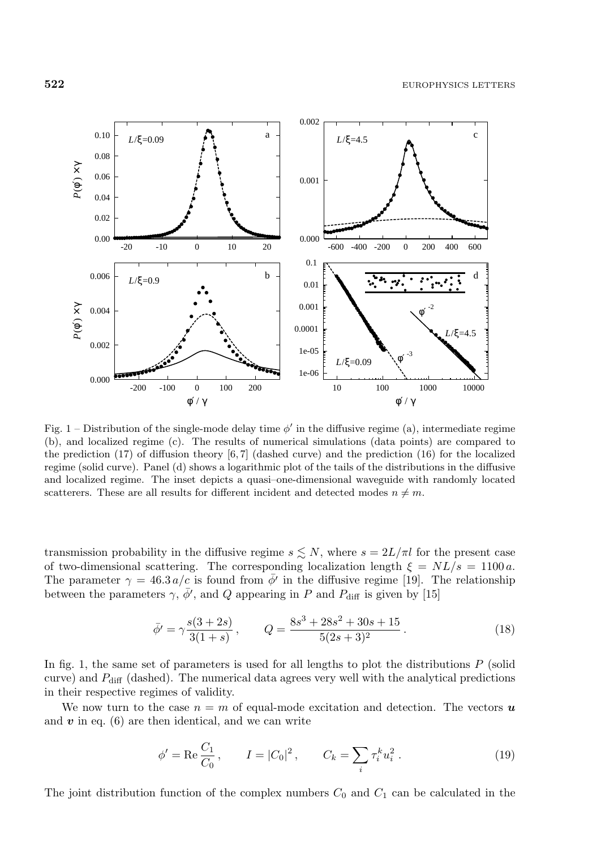

Fig. 1 – Distribution of the single-mode delay time  $\phi'$  in the diffusive regime (a), intermediate regime (b), and localized regime (c). The results of numerical simulations (data points) are compared to the prediction  $(17)$  of diffusion theory [6, 7] (dashed curve) and the prediction  $(16)$  for the localized regime (solid curve). Panel (d) shows a logarithmic plot of the tails of the distributions in the diffusive and localized regime. The inset depicts a quasi–one-dimensional waveguide with randomlylocated scatterers. These are all results for different incident and detected modes  $n \neq m$ .

transmission probability in the diffusive regime  $s \lesssim N$ , where  $s = 2L/\pi l$  for the present case of two-dimensional scattering. The corresponding localization length  $\xi = NL/s = 1100 a$ . The parameter  $\gamma = 46.3 a/c$  is found from  $\phi'$  in the diffusive regime [19]. The relationship between the parameters  $\gamma$ ,  $\bar{\phi}'$ , and Q appearing in P and  $P_{\text{diff}}$  is given by [15]

$$
\bar{\phi}' = \gamma \frac{s(3+2s)}{3(1+s)}, \qquad Q = \frac{8s^3 + 28s^2 + 30s + 15}{5(2s+3)^2}.
$$
 (18)

In fig. 1, the same set of parameters is used for all lengths to plot the distributions  $P$  (solid curve) and  $P_{\text{diff}}$  (dashed). The numerical data agrees very well with the analytical predictions in their respective regimes of validity.

We now turn to the case  $n = m$  of equal-mode excitation and detection. The vectors  $\boldsymbol{u}$ and  $v$  in eq.  $(6)$  are then identical, and we can write

$$
\phi' = \text{Re}\frac{C_1}{C_0}, \qquad I = |C_0|^2, \qquad C_k = \sum_i \tau_i^k u_i^2. \tag{19}
$$

The joint distribution function of the complex numbers  $C_0$  and  $C_1$  can be calculated in the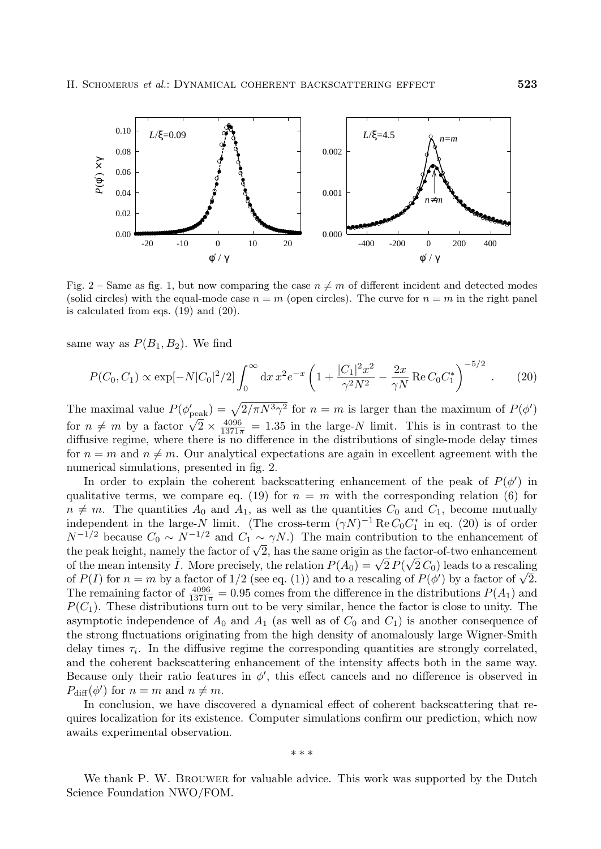

Fig. 2 – Same as fig. 1, but now comparing the case  $n \neq m$  of different incident and detected modes (solid circles) with the equal-mode case  $n = m$  (open circles). The curve for  $n = m$  in the right panel is calculated from eqs. (19) and (20).

same way as  $P(B_1, B_2)$ . We find

$$
P(C_0, C_1) \propto \exp[-N|C_0|^2/2] \int_0^\infty dx \, x^2 e^{-x} \left(1 + \frac{|C_1|^2 x^2}{\gamma^2 N^2} - \frac{2x}{\gamma N} \operatorname{Re} C_0 C_1^*\right)^{-5/2} . \tag{20}
$$

The maximal value  $P(\phi_{\text{peak}}') = \sqrt{2/\pi N^3 \gamma^2}$  for  $n = m$  is larger than the maximum of  $P(\phi')$ for  $n \neq m$  by a factor  $\sqrt{2} \times \frac{4096}{1371\pi} = 1.35$  in the large-N limit. This is in contrast to the diffusive regime, where there is no difference in the distributions of single-mode delay times for  $n = m$  and  $n \neq m$ . Our analytical expectations are again in excellent agreement with the numerical simulations, presented in fig. 2.

In order to explain the coherent backscattering enhancement of the peak of  $P(\phi)$  in qualitative terms, we compare eq. (19) for  $n = m$  with the corresponding relation (6) for  $n \neq m$ . The quantities  $A_0$  and  $A_1$ , as well as the quantities  $C_0$  and  $C_1$ , become mutually independent in the large-N limit. (The cross-term  $(\gamma N)^{-1} \text{Re } C_0 C_1^*$  in eq. (20) is of order  $N^{-1/2}$  because  $C_0 \sim N^{-1/2}$  and  $C_1 \sim \gamma N$ .) The main contribution to the enhancement of the peak height, namely the factor of  $\sqrt{2}$ , has the same origin as the factor-of-two enhancement the peak height, hamely the factor of  $\sqrt{2}$ , has the same origin as the factor-or-two enhancement<br>of the mean intensity  $\overline{I}$ . More precisely, the relation  $P(A_0) = \sqrt{2} P(\sqrt{2} C_0)$  leads to a rescaling of the mean intensity 1. More precisely, the relation  $P(A_0) = \sqrt{2} P(\sqrt{2} C_0)$  leads to a rescaling of  $P(I)$  for  $n = m$  by a factor of  $1/2$  (see eq. (1)) and to a rescaling of  $P(\phi')$  by a factor of  $\sqrt{2}$ . The remaining factor of  $\frac{4096}{1371\pi} = 0.95$  comes from the difference in the distributions  $P(A_1)$  and  $P(C_1)$ . These distributions turn out to be very similar, hence the factor is close to unity. The asymptotic independence of  $A_0$  and  $A_1$  (as well as of  $C_0$  and  $C_1$ ) is another consequence of the strong fluctuations originating from the high density of anomalously large Wigner-Smith delay times  $\tau_i$ . In the diffusive regime the corresponding quantities are strongly correlated, and the coherent backscattering enhancement of the intensity affects both in the same way. Because only their ratio features in  $\phi'$ , this effect cancels and no difference is observed in  $P_{\text{diff}}(\phi')$  for  $n = m$  and  $n \neq m$ .

In conclusion, we have discovered a dynamical effect of coherent backscattering that requires localization for its existence. Computer simulations confirm our prediction, which now awaits experimental observation.

∗∗∗

We thank P. W. BROUWER for valuable advice. This work was supported by the Dutch Science Foundation NWO/FOM.